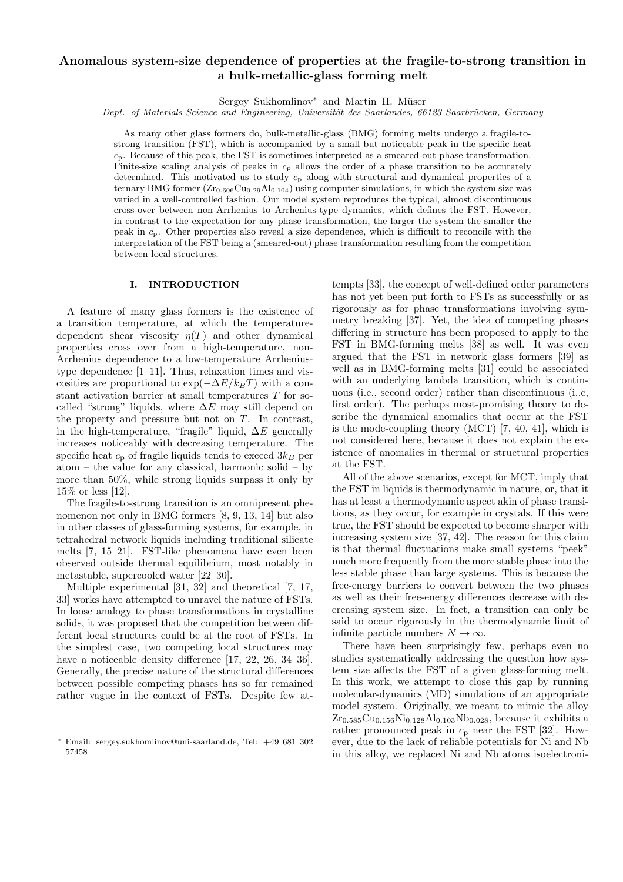# Anomalous system-size dependence of properties at the fragile-to-strong transition in a bulk-metallic-glass forming melt

Sergey Sukhomlinov<sup>\*</sup> and Martin H. Müser

Dept. of Materials Science and Engineering, Universität des Saarlandes, 66123 Saarbrücken, Germany

As many other glass formers do, bulk-metallic-glass (BMG) forming melts undergo a fragile-tostrong transition (FST), which is accompanied by a small but noticeable peak in the specific heat  $c_p$ . Because of this peak, the FST is sometimes interpreted as a smeared-out phase transformation. Finite-size scaling analysis of peaks in  $c_p$  allows the order of a phase transition to be accurately determined. This motivated us to study  $c_p$  along with structural and dynamical properties of a ternary BMG former  $(Zr_{0.606}Cu_{0.29}Al_{0.104})$  using computer simulations, in which the system size was varied in a well-controlled fashion. Our model system reproduces the typical, almost discontinuous cross-over between non-Arrhenius to Arrhenius-type dynamics, which defines the FST. However, in contrast to the expectation for any phase transformation, the larger the system the smaller the peak in  $c_p$ . Other properties also reveal a size dependence, which is difficult to reconcile with the interpretation of the FST being a (smeared-out) phase transformation resulting from the competition between local structures.

## I. INTRODUCTION

A feature of many glass formers is the existence of a transition temperature, at which the temperaturedependent shear viscosity  $\eta(T)$  and other dynamical properties cross over from a high-temperature, non-Arrhenius dependence to a low-temperature Arrheniustype dependence [1–11]. Thus, relaxation times and viscosities are proportional to  $\exp(-\Delta E/k_BT)$  with a constant activation barrier at small temperatures T for socalled "strong" liquids, where  $\Delta E$  may still depend on the property and pressure but not on  $T$ . In contrast, in the high-temperature, "fragile" liquid,  $\Delta E$  generally increases noticeably with decreasing temperature. The specific heat  $c_p$  of fragile liquids tends to exceed  $3k_B$  per atom – the value for any classical, harmonic solid – by more than 50%, while strong liquids surpass it only by 15% or less [12].

The fragile-to-strong transition is an omnipresent phenomenon not only in BMG formers [8, 9, 13, 14] but also in other classes of glass-forming systems, for example, in tetrahedral network liquids including traditional silicate melts [7, 15–21]. FST-like phenomena have even been observed outside thermal equilibrium, most notably in metastable, supercooled water [22–30].

Multiple experimental [31, 32] and theoretical [7, 17, 33] works have attempted to unravel the nature of FSTs. In loose analogy to phase transformations in crystalline solids, it was proposed that the competition between different local structures could be at the root of FSTs. In the simplest case, two competing local structures may have a noticeable density difference [17, 22, 26, 34–36]. Generally, the precise nature of the structural differences between possible competing phases has so far remained rather vague in the context of FSTs. Despite few attempts [33], the concept of well-defined order parameters has not yet been put forth to FSTs as successfully or as rigorously as for phase transformations involving symmetry breaking [37]. Yet, the idea of competing phases differing in structure has been proposed to apply to the FST in BMG-forming melts [38] as well. It was even argued that the FST in network glass formers [39] as well as in BMG-forming melts [31] could be associated with an underlying lambda transition, which is continuous (i.e., second order) rather than discontinuous (i..e, first order). The perhaps most-promising theory to describe the dynamical anomalies that occur at the FST is the mode-coupling theory (MCT) [7, 40, 41], which is not considered here, because it does not explain the existence of anomalies in thermal or structural properties at the FST.

All of the above scenarios, except for MCT, imply that the FST in liquids is thermodynamic in nature, or, that it has at least a thermodynamic aspect akin of phase transitions, as they occur, for example in crystals. If this were true, the FST should be expected to become sharper with increasing system size [37, 42]. The reason for this claim is that thermal fluctuations make small systems "peek" much more frequently from the more stable phase into the less stable phase than large systems. This is because the free-energy barriers to convert between the two phases as well as their free-energy differences decrease with decreasing system size. In fact, a transition can only be said to occur rigorously in the thermodynamic limit of infinite particle numbers  $N \to \infty$ .

There have been surprisingly few, perhaps even no studies systematically addressing the question how system size affects the FST of a given glass-forming melt. In this work, we attempt to close this gap by running molecular-dynamics (MD) simulations of an appropriate model system. Originally, we meant to mimic the alloy  $Zr_{0.585}Cu_{0.156}Ni_{0.128}Al_{0.103}Nb_{0.028}$ , because it exhibits a rather pronounced peak in  $c_p$  near the FST [32]. However, due to the lack of reliable potentials for Ni and Nb in this alloy, we replaced Ni and Nb atoms isoelectroni-

<sup>∗</sup> Email: sergey.sukhomlinov@uni-saarland.de, Tel: +49 681 302 57458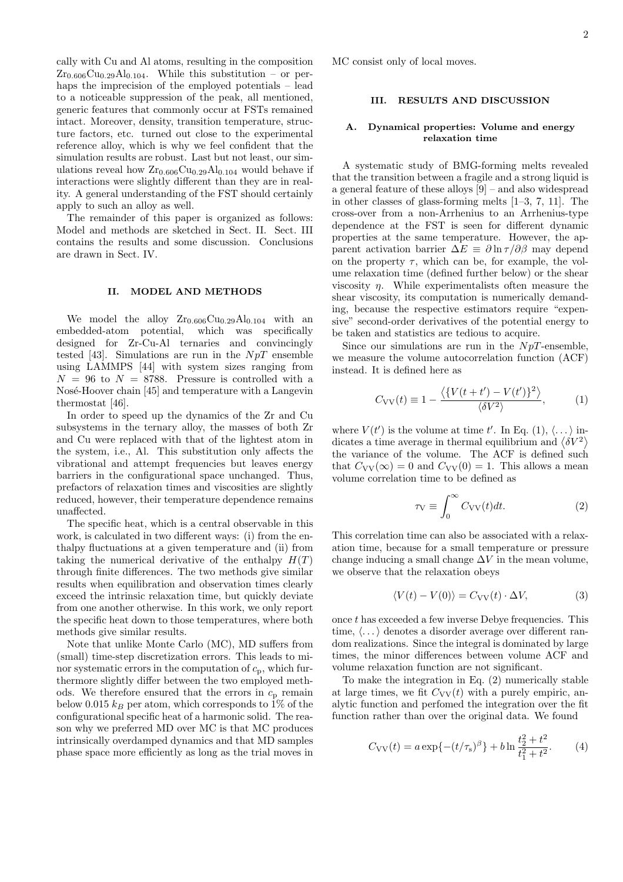cally with Cu and Al atoms, resulting in the composition  $Zr_{0.606}Cu_{0.29}Al_{0.104}$ . While this substitution – or perhaps the imprecision of the employed potentials – lead to a noticeable suppression of the peak, all mentioned, generic features that commonly occur at FSTs remained intact. Moreover, density, transition temperature, structure factors, etc. turned out close to the experimental reference alloy, which is why we feel confident that the simulation results are robust. Last but not least, our simulations reveal how  $Zr_{0.606}Cu_{0.29}Al_{0.104}$  would behave if interactions were slightly different than they are in reality. A general understanding of the FST should certainly apply to such an alloy as well.

The remainder of this paper is organized as follows: Model and methods are sketched in Sect. II. Sect. III contains the results and some discussion. Conclusions are drawn in Sect. IV.

## II. MODEL AND METHODS

We model the alloy  $Zr_{0.606}Cu_{0.29}Al_{0.104}$  with an embedded-atom potential, which was specifically designed for Zr-Cu-Al ternaries and convincingly tested [43]. Simulations are run in the  $NpT$  ensemble using LAMMPS [44] with system sizes ranging from  $N = 96$  to  $N = 8788$ . Pressure is controlled with a Nosé-Hoover chain [45] and temperature with a Langevin thermostat [46].

In order to speed up the dynamics of the Zr and Cu subsystems in the ternary alloy, the masses of both Zr and Cu were replaced with that of the lightest atom in the system, i.e., Al. This substitution only affects the vibrational and attempt frequencies but leaves energy barriers in the configurational space unchanged. Thus, prefactors of relaxation times and viscosities are slightly reduced, however, their temperature dependence remains unaffected.

The specific heat, which is a central observable in this work, is calculated in two different ways: (i) from the enthalpy fluctuations at a given temperature and (ii) from taking the numerical derivative of the enthalpy  $H(T)$ through finite differences. The two methods give similar results when equilibration and observation times clearly exceed the intrinsic relaxation time, but quickly deviate from one another otherwise. In this work, we only report the specific heat down to those temperatures, where both methods give similar results.

Note that unlike Monte Carlo (MC), MD suffers from (small) time-step discretization errors. This leads to minor systematic errors in the computation of  $c_p$ , which furthermore slightly differ between the two employed methods. We therefore ensured that the errors in  $c_p$  remain below 0.015  $k_B$  per atom, which corresponds to 1% of the configurational specific heat of a harmonic solid. The reason why we preferred MD over MC is that MC produces intrinsically overdamped dynamics and that MD samples phase space more efficiently as long as the trial moves in MC consist only of local moves.

### III. RESULTS AND DISCUSSION

## A. Dynamical properties: Volume and energy relaxation time

A systematic study of BMG-forming melts revealed that the transition between a fragile and a strong liquid is a general feature of these alloys [9] – and also widespread in other classes of glass-forming melts [1–3, 7, 11]. The cross-over from a non-Arrhenius to an Arrhenius-type dependence at the FST is seen for different dynamic properties at the same temperature. However, the apparent activation barrier  $\Delta E \equiv \partial \ln \tau / \partial \beta$  may depend on the property  $\tau$ , which can be, for example, the volume relaxation time (defined further below) or the shear viscosity  $\eta$ . While experimentalists often measure the shear viscosity, its computation is numerically demanding, because the respective estimators require "expensive" second-order derivatives of the potential energy to be taken and statistics are tedious to acquire.

Since our simulations are run in the  $NpT$ -ensemble, we measure the volume autocorrelation function (ACF) instead. It is defined here as

$$
C_{\rm VV}(t) \equiv 1 - \frac{\langle \{ V(t+t') - V(t') \}^2 \rangle}{\langle \delta V^2 \rangle}, \tag{1}
$$

where  $V(t')$  is the volume at time t'. In Eq. (1),  $\langle \dots \rangle$  indicates a time average in thermal equilibrium and  $\langle \delta V^2 \rangle$ the variance of the volume. The ACF is defined such that  $C_{\rm VV}(\infty) = 0$  and  $C_{\rm VV}(0) = 1$ . This allows a mean volume correlation time to be defined as

$$
\tau_{\rm V} \equiv \int_0^\infty C_{\rm VV}(t)dt.
$$
 (2)

This correlation time can also be associated with a relaxation time, because for a small temperature or pressure change inducing a small change  $\Delta V$  in the mean volume, we observe that the relaxation obeys

$$
\langle V(t) - V(0) \rangle = C_{\text{VV}}(t) \cdot \Delta V, \tag{3}
$$

once t has exceeded a few inverse Debye frequencies. This time,  $\langle \ldots \rangle$  denotes a disorder average over different random realizations. Since the integral is dominated by large times, the minor differences between volume ACF and volume relaxation function are not significant.

To make the integration in Eq. (2) numerically stable at large times, we fit  $C_{VV}(t)$  with a purely empiric, analytic function and perfomed the integration over the fit function rather than over the original data. We found

$$
C_{\rm VV}(t) = a \exp\{-(t/\tau_{\rm s})^{\beta}\} + b \ln \frac{t_2^2 + t^2}{t_1^2 + t^2}.
$$
 (4)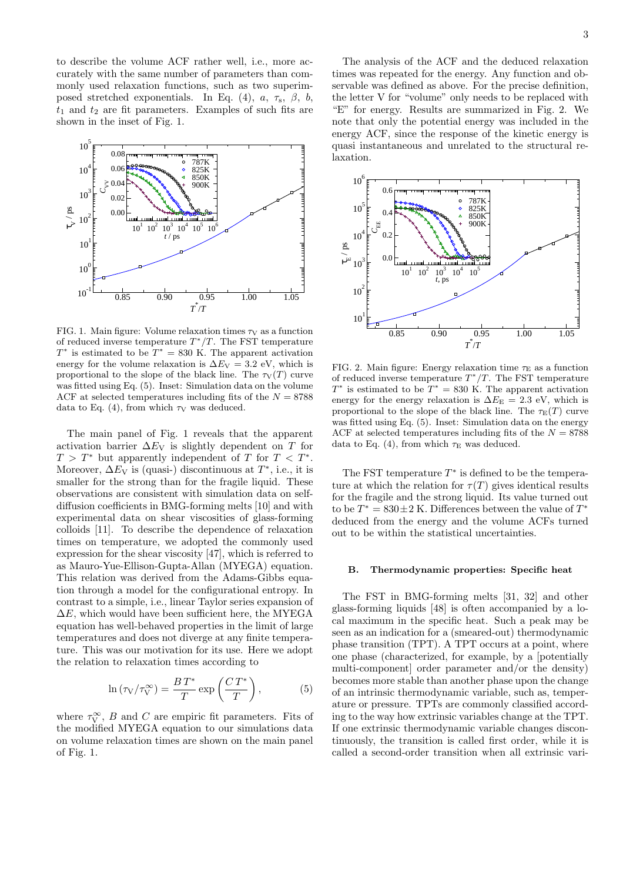to describe the volume ACF rather well, i.e., more accurately with the same number of parameters than commonly used relaxation functions, such as two superimposed stretched exponentials. In Eq. (4),  $a, \tau_s, \beta, b,$  $t_1$  and  $t_2$  are fit parameters. Examples of such fits are shown in the inset of Fig. 1.



FIG. 1. Main figure: Volume relaxation times  $\tau_V$  as a function of reduced inverse temperature  $T^*/T$ . The FST temperature  $T^*$  is estimated to be  $T^* = 830 \text{ K}$ . The apparent activation energy for the volume relaxation is  $\Delta E_{\rm V} = 3.2$  eV, which is proportional to the slope of the black line. The  $\tau_V(T)$  curve was fitted using Eq. (5). Inset: Simulation data on the volume ACF at selected temperatures including fits of the  $N = 8788$ data to Eq. (4), from which  $\tau_V$  was deduced.

The main panel of Fig. 1 reveals that the apparent activation barrier  $\Delta E_V$  is slightly dependent on T for  $T > T^*$  but apparently independent of T for  $T < T^*$ . Moreover,  $\Delta E_{\rm V}$  is (quasi-) discontinuous at  $T^*$ , i.e., it is smaller for the strong than for the fragile liquid. These observations are consistent with simulation data on selfdiffusion coefficients in BMG-forming melts [10] and with experimental data on shear viscosities of glass-forming colloids [11]. To describe the dependence of relaxation times on temperature, we adopted the commonly used expression for the shear viscosity [47], which is referred to as Mauro-Yue-Ellison-Gupta-Allan (MYEGA) equation. This relation was derived from the Adams-Gibbs equation through a model for the configurational entropy. In contrast to a simple, i.e., linear Taylor series expansion of  $\Delta E$ , which would have been sufficient here, the MYEGA equation has well-behaved properties in the limit of large temperatures and does not diverge at any finite temperature. This was our motivation for its use. Here we adopt the relation to relaxation times according to

$$
\ln\left(\tau_{\rm V}/\tau_{\rm V}^{\infty}\right) = \frac{BT^*}{T} \exp\left(\frac{CT^*}{T}\right),\tag{5}
$$

where  $\tau_V^{\infty}$ , B and C are empiric fit parameters. Fits of the modified MYEGA equation to our simulations data on volume relaxation times are shown on the main panel of Fig. 1.

The analysis of the ACF and the deduced relaxation times was repeated for the energy. Any function and observable was defined as above. For the precise definition, the letter V for "volume" only needs to be replaced with "E" for energy. Results are summarized in Fig. 2. We note that only the potential energy was included in the energy ACF, since the response of the kinetic energy is quasi instantaneous and unrelated to the structural relaxation.



FIG. 2. Main figure: Energy relaxation time  $\tau_{\rm E}$  as a function of reduced inverse temperature  $T^*/T$ . The FST temperature  $T^*$  is estimated to be  $T^* = 830$  K. The apparent activation energy for the energy relaxation is  $\Delta E_{\rm E} = 2.3$  eV, which is proportional to the slope of the black line. The  $\tau_{\text{E}}(T)$  curve was fitted using Eq. (5). Inset: Simulation data on the energy ACF at selected temperatures including fits of the  $N = 8788$ data to Eq. (4), from which  $\tau_{\rm E}$  was deduced.

The FST temperature  $T^*$  is defined to be the temperature at which the relation for  $\tau(T)$  gives identical results for the fragile and the strong liquid. Its value turned out to be  $T^* = 830 \pm 2$  K. Differences between the value of  $T^*$ deduced from the energy and the volume ACFs turned out to be within the statistical uncertainties.

#### B. Thermodynamic properties: Specific heat

The FST in BMG-forming melts [31, 32] and other glass-forming liquids [48] is often accompanied by a local maximum in the specific heat. Such a peak may be seen as an indication for a (smeared-out) thermodynamic phase transition (TPT). A TPT occurs at a point, where one phase (characterized, for example, by a [potentially multi-component] order parameter and/or the density) becomes more stable than another phase upon the change of an intrinsic thermodynamic variable, such as, temperature or pressure. TPTs are commonly classified according to the way how extrinsic variables change at the TPT. If one extrinsic thermodynamic variable changes discontinuously, the transition is called first order, while it is called a second-order transition when all extrinsic vari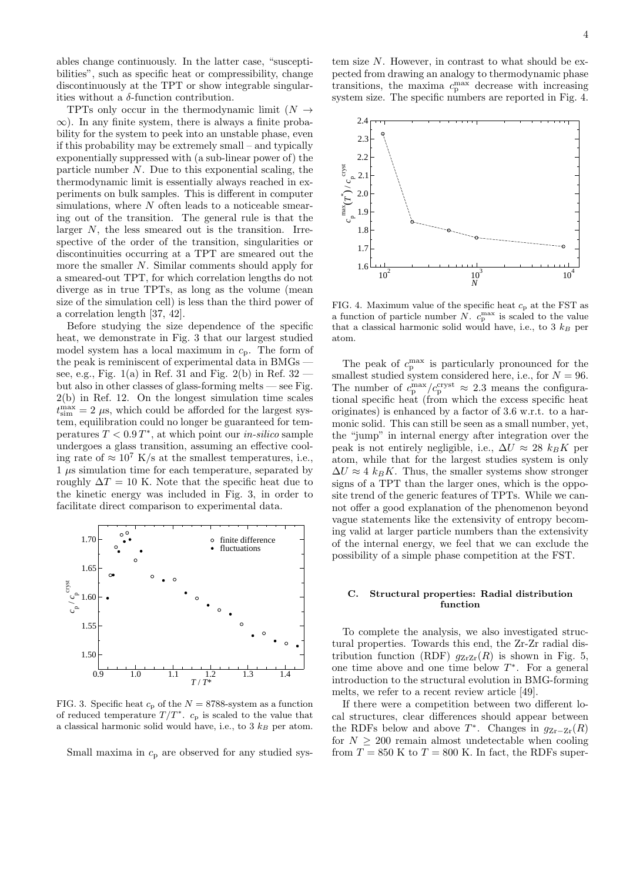ables change continuously. In the latter case, "susceptibilities", such as specific heat or compressibility, change discontinuously at the TPT or show integrable singularities without a  $\delta$ -function contribution.

TPTs only occur in the thermodynamic limit  $(N \rightarrow$  $\infty$ ). In any finite system, there is always a finite probability for the system to peek into an unstable phase, even if this probability may be extremely small – and typically exponentially suppressed with (a sub-linear power of) the particle number  $N$ . Due to this exponential scaling, the thermodynamic limit is essentially always reached in experiments on bulk samples. This is different in computer simulations, where  $N$  often leads to a noticeable smearing out of the transition. The general rule is that the larger  $N$ , the less smeared out is the transition. Irrespective of the order of the transition, singularities or discontinuities occurring at a TPT are smeared out the more the smaller N. Similar comments should apply for a smeared-out TPT, for which correlation lengths do not diverge as in true TPTs, as long as the volume (mean size of the simulation cell) is less than the third power of a correlation length [37, 42].

Before studying the size dependence of the specific heat, we demonstrate in Fig. 3 that our largest studied model system has a local maximum in  $c_p$ . The form of the peak is reminiscent of experimental data in BMGs see, e.g., Fig.  $1(a)$  in Ref. 31 and Fig.  $2(b)$  in Ref.  $32$  but also in other classes of glass-forming melts — see Fig. 2(b) in Ref. 12. On the longest simulation time scales  $t_{\text{sim}}^{\text{max}} = 2 \mu s$ , which could be afforded for the largest system, equilibration could no longer be guaranteed for temperatures  $T < 0.9 T^*$ , at which point our *in-silico* sample undergoes a glass transition, assuming an effective cooling rate of  $\approx 10^7$  K/s at the smallest temperatures, i.e., 1 µs simulation time for each temperature, separated by roughly  $\Delta T = 10$  K. Note that the specific heat due to the kinetic energy was included in Fig. 3, in order to facilitate direct comparison to experimental data.



FIG. 3. Specific heat  $c_p$  of the  $N = 8788$ -system as a function of reduced temperature  $T/T^*$ .  $c_p$  is scaled to the value that a classical harmonic solid would have, i.e., to  $3 \; k_B$  per atom.

Small maxima in  $c_p$  are observed for any studied sys-

tem size N. However, in contrast to what should be expected from drawing an analogy to thermodynamic phase transitions, the maxima  $c_p^{\text{max}}$  decrease with increasing system size. The specific numbers are reported in Fig. 4.



FIG. 4. Maximum value of the specific heat  $c_p$  at the FST as a function of particle number N.  $c_p^{\text{max}}$  is scaled to the value that a classical harmonic solid would have, i.e., to  $3 \; k_B$  per atom.

The peak of  $c_p^{\text{max}}$  is particularly pronounced for the smallest studied system considered here, i.e., for  $N = 96$ . The number of  $c_p^{\text{max}}/c_p^{\text{cryst}} \approx 2.3$  means the configurational specific heat (from which the excess specific heat originates) is enhanced by a factor of 3.6 w.r.t. to a harmonic solid. This can still be seen as a small number, yet, the "jump" in internal energy after integration over the peak is not entirely negligible, i.e.,  $\Delta U \approx 28$  k<sub>B</sub>K per atom, while that for the largest studies system is only  $\Delta U \approx 4 \; k_B K$ . Thus, the smaller systems show stronger signs of a TPT than the larger ones, which is the opposite trend of the generic features of TPTs. While we cannot offer a good explanation of the phenomenon beyond vague statements like the extensivity of entropy becoming valid at larger particle numbers than the extensivity of the internal energy, we feel that we can exclude the possibility of a simple phase competition at the FST.

## C. Structural properties: Radial distribution function

To complete the analysis, we also investigated structural properties. Towards this end, the Zr-Zr radial distribution function (RDF)  $g_{ZrZr}(R)$  is shown in Fig. 5, one time above and one time below  $T^*$ . For a general introduction to the structural evolution in BMG-forming melts, we refer to a recent review article [49].

If there were a competition between two different local structures, clear differences should appear between the RDFs below and above  $T^*$ . Changes in  $g_{Zr-Zr}(R)$ for  $N > 200$  remain almost undetectable when cooling from  $T = 850$  K to  $T = 800$  K. In fact, the RDFs super-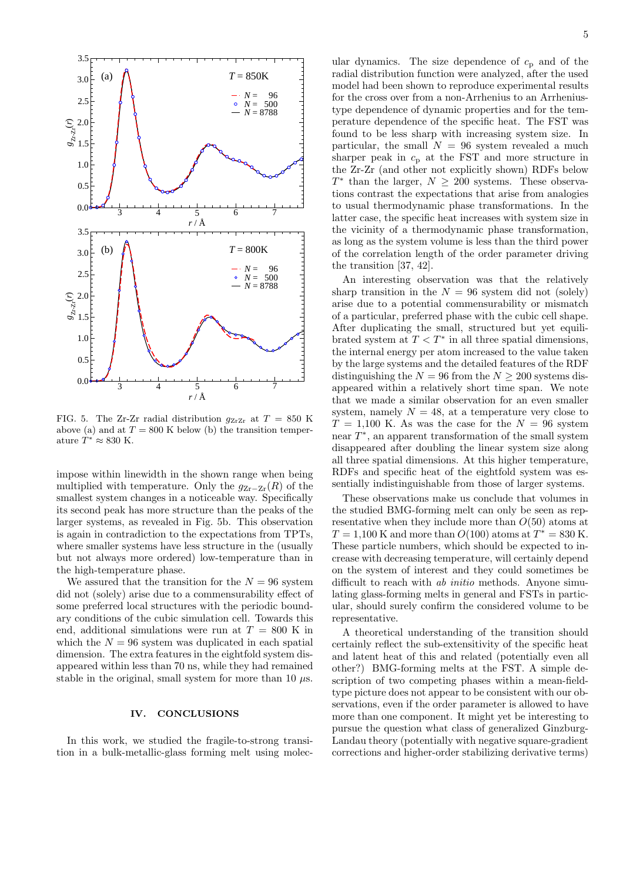

FIG. 5. The Zr-Zr radial distribution  $q_{ZrZr}$  at  $T = 850$  K above (a) and at  $T = 800$  K below (b) the transition temperature  $\hat{T}^* \approx 830$  K.

impose within linewidth in the shown range when being multiplied with temperature. Only the  $g_{Zr-Zr}(R)$  of the smallest system changes in a noticeable way. Specifically its second peak has more structure than the peaks of the larger systems, as revealed in Fig. 5b. This observation is again in contradiction to the expectations from TPTs, where smaller systems have less structure in the (usually but not always more ordered) low-temperature than in the high-temperature phase.

We assured that the transition for the  $N = 96$  system did not (solely) arise due to a commensurability effect of some preferred local structures with the periodic boundary conditions of the cubic simulation cell. Towards this end, additional simulations were run at  $T = 800$  K in which the  $N = 96$  system was duplicated in each spatial dimension. The extra features in the eightfold system disappeared within less than 70 ns, while they had remained stable in the original, small system for more than 10  $\mu$ s.

#### IV. CONCLUSIONS

In this work, we studied the fragile-to-strong transition in a bulk-metallic-glass forming melt using molecular dynamics. The size dependence of  $c_p$  and of the radial distribution function were analyzed, after the used model had been shown to reproduce experimental results for the cross over from a non-Arrhenius to an Arrheniustype dependence of dynamic properties and for the temperature dependence of the specific heat. The FST was found to be less sharp with increasing system size. In particular, the small  $N = 96$  system revealed a much sharper peak in  $c_p$  at the FST and more structure in the Zr-Zr (and other not explicitly shown) RDFs below  $T^*$  than the larger,  $N \geq 200$  systems. These observations contrast the expectations that arise from analogies to usual thermodynamic phase transformations. In the latter case, the specific heat increases with system size in the vicinity of a thermodynamic phase transformation, as long as the system volume is less than the third power of the correlation length of the order parameter driving the transition [37, 42].

An interesting observation was that the relatively sharp transition in the  $N = 96$  system did not (solely) arise due to a potential commensurability or mismatch of a particular, preferred phase with the cubic cell shape. After duplicating the small, structured but yet equilibrated system at  $T < T^*$  in all three spatial dimensions, the internal energy per atom increased to the value taken by the large systems and the detailed features of the RDF distinguishing the  $N = 96$  from the  $N \ge 200$  systems disappeared within a relatively short time span. We note that we made a similar observation for an even smaller system, namely  $N = 48$ , at a temperature very close to  $T = 1,100$  K. As was the case for the  $N = 96$  system near  $T^*$ , an apparent transformation of the small system disappeared after doubling the linear system size along all three spatial dimensions. At this higher temperature, RDFs and specific heat of the eightfold system was essentially indistinguishable from those of larger systems.

These observations make us conclude that volumes in the studied BMG-forming melt can only be seen as representative when they include more than  $O(50)$  atoms at  $T = 1,100$  K and more than  $O(100)$  atoms at  $T^* = 830$  K. These particle numbers, which should be expected to increase with decreasing temperature, will certainly depend on the system of interest and they could sometimes be difficult to reach with *ab initio* methods. Anyone simulating glass-forming melts in general and FSTs in particular, should surely confirm the considered volume to be representative.

A theoretical understanding of the transition should certainly reflect the sub-extensitivity of the specific heat and latent heat of this and related (potentially even all other?) BMG-forming melts at the FST. A simple description of two competing phases within a mean-fieldtype picture does not appear to be consistent with our observations, even if the order parameter is allowed to have more than one component. It might yet be interesting to pursue the question what class of generalized Ginzburg-Landau theory (potentially with negative square-gradient corrections and higher-order stabilizing derivative terms)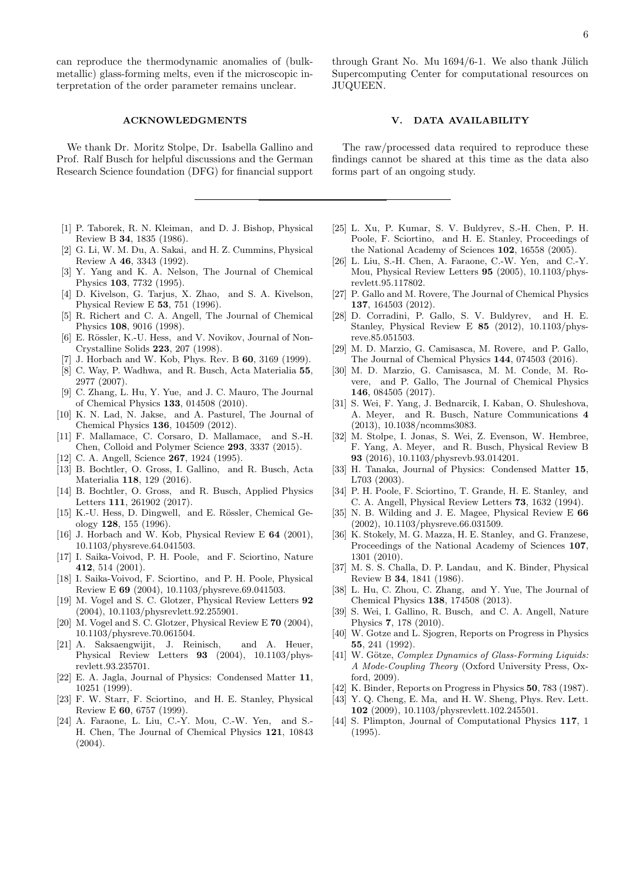can reproduce the thermodynamic anomalies of (bulkmetallic) glass-forming melts, even if the microscopic interpretation of the order parameter remains unclear.

We thank Dr. Moritz Stolpe, Dr. Isabella Gallino and Prof. Ralf Busch for helpful discussions and the German Research Science foundation (DFG) for financial support

- [1] P. Taborek, R. N. Kleiman, and D. J. Bishop, Physical Review B 34, 1835 (1986).
- [2] G. Li, W. M. Du, A. Sakai, and H. Z. Cummins, Physical Review A 46, 3343 (1992).
- [3] Y. Yang and K. A. Nelson, The Journal of Chemical Physics 103, 7732 (1995).
- [4] D. Kivelson, G. Tarjus, X. Zhao, and S. A. Kivelson, Physical Review E 53, 751 (1996).
- [5] R. Richert and C. A. Angell, The Journal of Chemical Physics 108, 9016 (1998).
- [6] E. Rössler, K.-U. Hess, and V. Novikov, Journal of Non-Crystalline Solids 223, 207 (1998).
- [7] J. Horbach and W. Kob, Phys. Rev. B 60, 3169 (1999).
- [8] C. Way, P. Wadhwa, and R. Busch, Acta Materialia 55, 2977 (2007).
- [9] C. Zhang, L. Hu, Y. Yue, and J. C. Mauro, The Journal of Chemical Physics 133, 014508 (2010).
- [10] K. N. Lad, N. Jakse, and A. Pasturel, The Journal of Chemical Physics 136, 104509 (2012).
- [11] F. Mallamace, C. Corsaro, D. Mallamace, and S.-H. Chen, Colloid and Polymer Science 293, 3337 (2015).
- [12] C. A. Angell, Science **267**, 1924 (1995).
- [13] B. Bochtler, O. Gross, I. Gallino, and R. Busch, Acta Materialia 118, 129 (2016).
- [14] B. Bochtler, O. Gross, and R. Busch, Applied Physics Letters 111, 261902 (2017).
- [15] K.-U. Hess, D. Dingwell, and E. Rössler, Chemical Geology 128, 155 (1996).
- [16] J. Horbach and W. Kob, Physical Review E 64 (2001), 10.1103/physreve.64.041503.
- [17] I. Saika-Voivod, P. H. Poole, and F. Sciortino, Nature 412, 514 (2001).
- [18] I. Saika-Voivod, F. Sciortino, and P. H. Poole, Physical Review E 69 (2004), 10.1103/physreve.69.041503.
- [19] M. Vogel and S. C. Glotzer, Physical Review Letters 92 (2004), 10.1103/physrevlett.92.255901.
- [20] M. Vogel and S. C. Glotzer, Physical Review E 70 (2004), 10.1103/physreve.70.061504.
- [21] A. Saksaengwijit, J. Reinisch, and A. Heuer, Physical Review Letters 93 (2004), 10.1103/physrevlett.93.235701.
- [22] E. A. Jagla, Journal of Physics: Condensed Matter 11, 10251 (1999).
- [23] F. W. Starr, F. Sciortino, and H. E. Stanley, Physical Review E 60, 6757 (1999).
- [24] A. Faraone, L. Liu, C.-Y. Mou, C.-W. Yen, and S.- H. Chen, The Journal of Chemical Physics 121, 10843 (2004).

through Grant No. Mu  $1694/6-1$ . We also thank Jülich Supercomputing Center for computational resources on JUQUEEN.

## V. DATA AVAILABILITY

The raw/processed data required to reproduce these findings cannot be shared at this time as the data also forms part of an ongoing study.

- [25] L. Xu, P. Kumar, S. V. Buldyrev, S.-H. Chen, P. H. Poole, F. Sciortino, and H. E. Stanley, Proceedings of the National Academy of Sciences 102, 16558 (2005).
- [26] L. Liu, S.-H. Chen, A. Faraone, C.-W. Yen, and C.-Y. Mou, Physical Review Letters 95 (2005), 10.1103/physrevlett.95.117802.
- [27] P. Gallo and M. Rovere, The Journal of Chemical Physics 137, 164503 (2012).
- [28] D. Corradini, P. Gallo, S. V. Buldyrev, and H. E. Stanley, Physical Review E 85 (2012), 10.1103/physreve.85.051503.
- [29] M. D. Marzio, G. Camisasca, M. Rovere, and P. Gallo, The Journal of Chemical Physics 144, 074503 (2016).
- [30] M. D. Marzio, G. Camisasca, M. M. Conde, M. Rovere, and P. Gallo, The Journal of Chemical Physics 146, 084505 (2017).
- [31] S. Wei, F. Yang, J. Bednarcik, I. Kaban, O. Shuleshova, A. Meyer, and R. Busch, Nature Communications 4 (2013), 10.1038/ncomms3083.
- [32] M. Stolpe, I. Jonas, S. Wei, Z. Evenson, W. Hembree, F. Yang, A. Meyer, and R. Busch, Physical Review B 93 (2016), 10.1103/physrevb.93.014201.
- [33] H. Tanaka, Journal of Physics: Condensed Matter 15, L703 (2003).
- [34] P. H. Poole, F. Sciortino, T. Grande, H. E. Stanley, and C. A. Angell, Physical Review Letters 73, 1632 (1994).
- [35] N. B. Wilding and J. E. Magee, Physical Review E 66 (2002), 10.1103/physreve.66.031509.
- [36] K. Stokely, M. G. Mazza, H. E. Stanley, and G. Franzese, Proceedings of the National Academy of Sciences 107, 1301 (2010).
- [37] M. S. S. Challa, D. P. Landau, and K. Binder, Physical Review B 34, 1841 (1986).
- [38] L. Hu, C. Zhou, C. Zhang, and Y. Yue, The Journal of Chemical Physics 138, 174508 (2013).
- [39] S. Wei, I. Gallino, R. Busch, and C. A. Angell, Nature Physics 7, 178 (2010).
- [40] W. Gotze and L. Sjogren, Reports on Progress in Physics 55, 241 (1992).
- [41] W. Götze, *Complex Dynamics of Glass-Forming Liquids:* A Mode-Coupling Theory (Oxford University Press, Oxford, 2009).
- [42] K. Binder, Reports on Progress in Physics **50**, 783 (1987).
- [43] Y. Q. Cheng, E. Ma, and H. W. Sheng, Phys. Rev. Lett. 102 (2009), 10.1103/physrevlett.102.245501.
- [44] S. Plimpton, Journal of Computational Physics 117, 1 (1995).